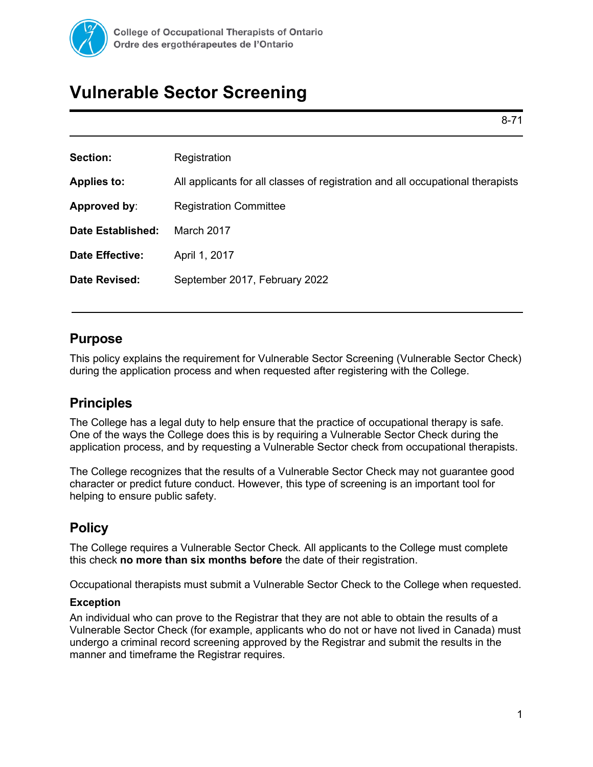

# **Vulnerable Sector Screening**

8-71

| Registration                                                                   |
|--------------------------------------------------------------------------------|
| All applicants for all classes of registration and all occupational therapists |
| <b>Registration Committee</b>                                                  |
| March 2017                                                                     |
| April 1, 2017                                                                  |
| September 2017, February 2022                                                  |
|                                                                                |

## **Purpose**

This policy explains the requirement for Vulnerable Sector Screening (Vulnerable Sector Check) during the application process and when requested after registering with the College.

# **Principles**

The College has a legal duty to help ensure that the practice of occupational therapy is safe. One of the ways the College does this is by requiring a Vulnerable Sector Check during the application process, and by requesting a Vulnerable Sector check from occupational therapists.

The College recognizes that the results of a Vulnerable Sector Check may not guarantee good character or predict future conduct. However, this type of screening is an important tool for helping to ensure public safety.

# **Policy**

The College requires a Vulnerable Sector Check*.* All applicants to the College must complete this check **no more than six months before** the date of their registration.

Occupational therapists must submit a Vulnerable Sector Check to the College when requested.

#### **Exception**

An individual who can prove to the Registrar that they are not able to obtain the results of a Vulnerable Sector Check (for example, applicants who do not or have not lived in Canada) must undergo a criminal record screening approved by the Registrar and submit the results in the manner and timeframe the Registrar requires.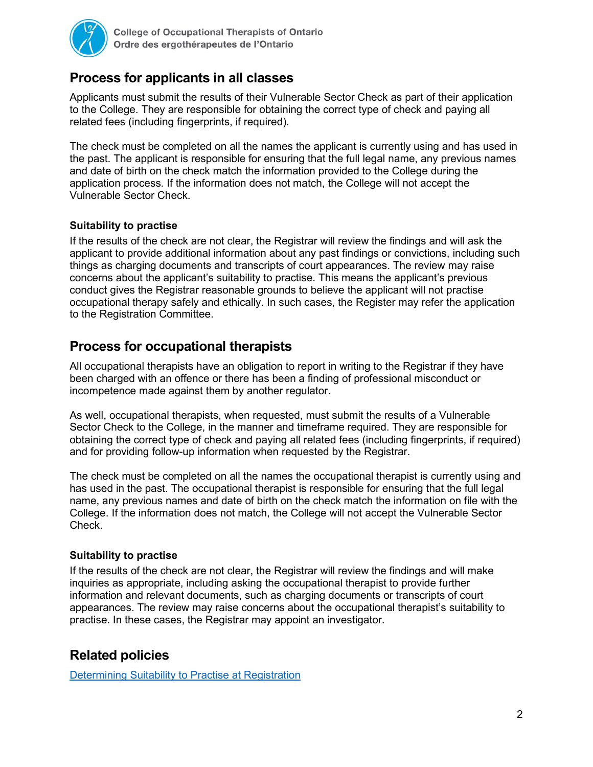

# **Process for applicants in all classes**

Applicants must submit the results of their Vulnerable Sector Check as part of their application to the College. They are responsible for obtaining the correct type of check and paying all related fees (including fingerprints, if required).

The check must be completed on all the names the applicant is currently using and has used in the past. The applicant is responsible for ensuring that the full legal name, any previous names and date of birth on the check match the information provided to the College during the application process. If the information does not match, the College will not accept the Vulnerable Sector Check.

#### **Suitability to practise**

If the results of the check are not clear, the Registrar will review the findings and will ask the applicant to provide additional information about any past findings or convictions, including such things as charging documents and transcripts of court appearances. The review may raise concerns about the applicant's suitability to practise. This means the applicant's previous conduct gives the Registrar reasonable grounds to believe the applicant will not practise occupational therapy safely and ethically. In such cases, the Register may refer the application to the Registration Committee.

## **Process for occupational therapists**

All occupational therapists have an obligation to report in writing to the Registrar if they have been charged with an offence or there has been a finding of professional misconduct or incompetence made against them by another regulator.

As well, occupational therapists, when requested, must submit the results of a Vulnerable Sector Check to the College, in the manner and timeframe required. They are responsible for obtaining the correct type of check and paying all related fees (including fingerprints, if required) and for providing follow-up information when requested by the Registrar.

The check must be completed on all the names the occupational therapist is currently using and has used in the past. The occupational therapist is responsible for ensuring that the full legal name, any previous names and date of birth on the check match the information on file with the College. If the information does not match, the College will not accept the Vulnerable Sector Check.

#### **Suitability to practise**

If the results of the check are not clear, the Registrar will review the findings and will make inquiries as appropriate, including asking the occupational therapist to provide further information and relevant documents, such as charging documents or transcripts of court appearances. The review may raise concerns about the occupational therapist's suitability to practise. In these cases, the Registrar may appoint an investigator.

# **Related policies**

[Determining Suitability to Practise at Registration](https://www.coto.org/docs/default-source/registration-policies/8-72-determining-suitability-to-practise-at-registration.pdf?sfvrsn=2)